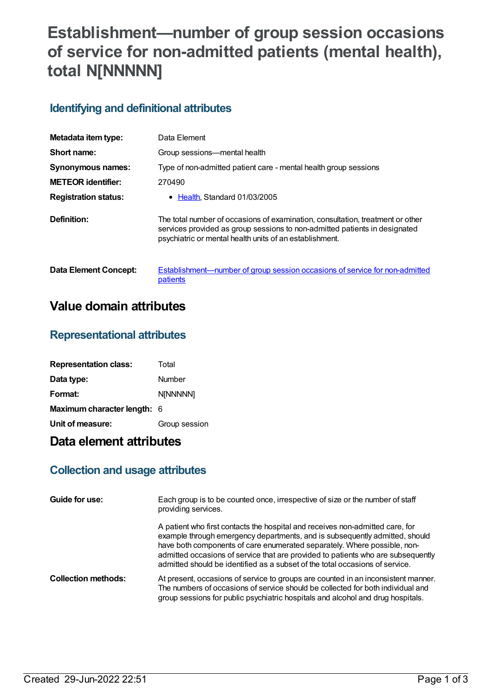# **Establishment—number of group session occasions of service for non-admitted patients (mental health), total N[NNNNN]**

### **Identifying and definitional attributes**

| Metadata item type:         | Data Element                                                                                                                                                                                                            |
|-----------------------------|-------------------------------------------------------------------------------------------------------------------------------------------------------------------------------------------------------------------------|
| Short name:                 | Group sessions—mental health                                                                                                                                                                                            |
| <b>Synonymous names:</b>    | Type of non-admitted patient care - mental health group sessions                                                                                                                                                        |
| <b>METEOR identifier:</b>   | 270490                                                                                                                                                                                                                  |
| <b>Registration status:</b> | $\bullet$ Health Standard 01/03/2005                                                                                                                                                                                    |
| Definition:                 | The total number of occasions of examination, consultation, treatment or other<br>services provided as group sessions to non-admitted patients in designated<br>psychiatric or mental health units of an establishment. |

**Data Element Concept:** [Establishment—number](https://meteor.aihw.gov.au/content/269674) of group session occasions of service for non-admitted

patients

## **Value domain attributes**

#### **Representational attributes**

| <b>Representation class:</b> | Total         |
|------------------------------|---------------|
| Data type:                   | Number        |
| Format:                      | N[NNNNN]      |
| Maximum character length: 6  |               |
| Unit of measure:             | Group session |

## **Data element attributes**

#### **Collection and usage attributes**

| Guide for use:             | Each group is to be counted once, irrespective of size or the number of staff<br>providing services.                                                                                                                                                                                                                                                                                                         |
|----------------------------|--------------------------------------------------------------------------------------------------------------------------------------------------------------------------------------------------------------------------------------------------------------------------------------------------------------------------------------------------------------------------------------------------------------|
|                            | A patient who first contacts the hospital and receives non-admitted care, for<br>example through emergency departments, and is subsequently admitted, should<br>have both components of care enumerated separately. Where possible, non-<br>admitted occasions of service that are provided to patients who are subsequently<br>admitted should be identified as a subset of the total occasions of service. |
| <b>Collection methods:</b> | At present, occasions of service to groups are counted in an inconsistent manner.<br>The numbers of occasions of service should be collected for both individual and<br>group sessions for public psychiatric hospitals and alcohol and drug hospitals.                                                                                                                                                      |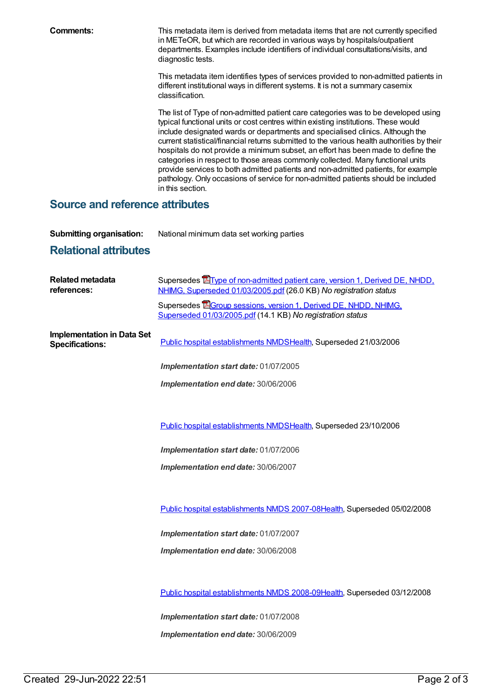**Comments:** This metadata item is derived from metadata items that are not currently specified in METeOR, but which are recorded in various ways by hospitals/outpatient departments. Examples include identifiers of individual consultations/visits, and diagnostic tests.

> This metadata item identifies types of services provided to non-admitted patients in different institutional ways in different systems. It is not a summary casemix classification.

> The list of Type of non-admitted patient care categories was to be developed using typical functional units or cost centres within existing institutions. These would include designated wards or departments and specialised clinics. Although the current statistical/financial returns submitted to the various health authorities by their hospitals do not provide a minimum subset, an effort has been made to define the categories in respect to those areas commonly collected. Many functional units provide services to both admitted patients and non-admitted patients, for example pathology. Only occasions of service for non-admitted patients should be included in this section.

#### **Source and reference attributes**

**Submitting organisation:** National minimum data set working parties

## **Relational attributes**

| <b>Related metadata</b><br>references:                      | Supersedes <b>E</b> Type of non-admitted patient care, version 1, Derived DE, NHDD,<br>NHIMG, Superseded 01/03/2005.pdf (26.0 KB) No registration status |
|-------------------------------------------------------------|----------------------------------------------------------------------------------------------------------------------------------------------------------|
|                                                             | Supersedes EGroup sessions, version 1, Derived DE, NHDD, NHIMG,<br>Superseded 01/03/2005.pdf (14.1 KB) No registration status                            |
| <b>Implementation in Data Set</b><br><b>Specifications:</b> | Public hospital establishments NMDSHealth, Superseded 21/03/2006                                                                                         |
|                                                             | Implementation start date: 01/07/2005                                                                                                                    |
|                                                             | Implementation end date: 30/06/2006                                                                                                                      |
|                                                             |                                                                                                                                                          |
|                                                             | Public hospital establishments NMDSHealth, Superseded 23/10/2006                                                                                         |
|                                                             | Implementation start date: 01/07/2006                                                                                                                    |
|                                                             | Implementation end date: 30/06/2007                                                                                                                      |
|                                                             |                                                                                                                                                          |
|                                                             | Public hospital establishments NMDS 2007-08Health, Superseded 05/02/2008                                                                                 |
|                                                             | Implementation start date: 01/07/2007                                                                                                                    |
|                                                             | Implementation end date: 30/06/2008                                                                                                                      |
|                                                             |                                                                                                                                                          |
|                                                             | Public hospital establishments NMDS 2008-09Health, Superseded 03/12/2008                                                                                 |
|                                                             | Implementation start date: 01/07/2008                                                                                                                    |
|                                                             | Implementation end date: 30/06/2009                                                                                                                      |
|                                                             |                                                                                                                                                          |